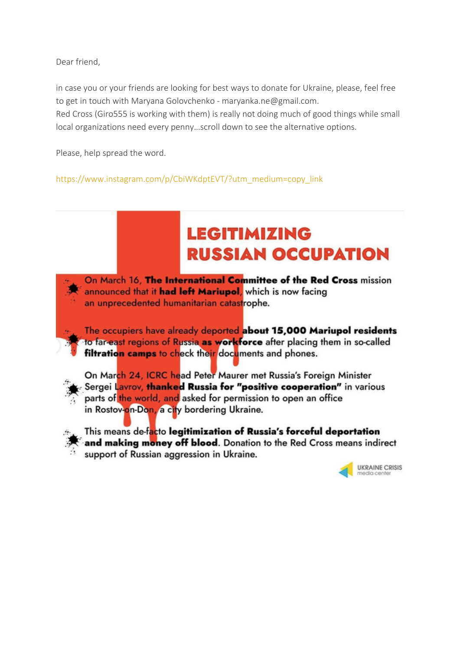Dear friend,

in case you or your friends are looking for best ways to donate for Ukraine, please, feel free to get in touch with Maryana Golovchenko - maryanka.ne@gmail.com.

Red Cross (Giro555 is working with them) is really not doing much of good things while small local organizations need every penny…scroll down to see the alternative options.

Please, help spread the word.

https://www.instagram.com/p/CbiWKdptEVT/?utm\_medium=copy\_link

# **LEGITIMIZING RUSSIAN OCCUPATION**

On March 16, The International Committee of the Red Cross mission announced that it had left Mariupol, which is now facing an unprecedented humanitarian catastrophe.

The occupiers have already deported about 15,000 Mariupol residents to far-east regions of Russia as workforce after placing them in so-called filtration camps to check their documents and phones.



On March 24, ICRC head Peter Maurer met Russia's Foreign Minister Sergei Lavrov, thanked Russia for "positive cooperation" in various parts of the world, and asked for permission to open an office in Rostov-on-Don, a city bordering Ukraine.



This means de-facto legitimization of Russia's forceful deportation and making money off blood. Donation to the Red Cross means indirect support of Russian aggression in Ukraine.

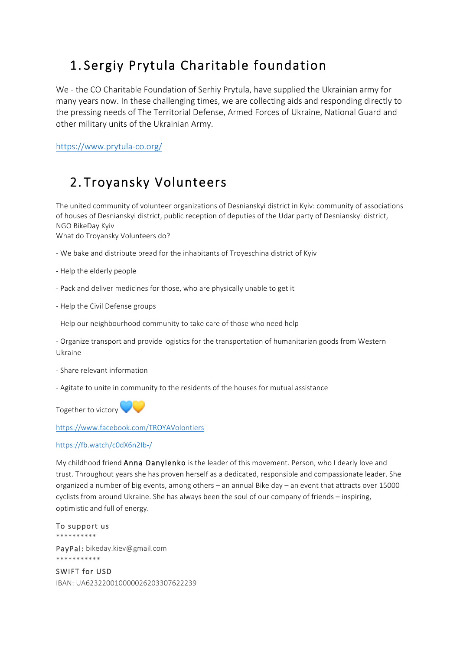# 1. Sergiy Prytula Charitable foundation

We - the CO Charitable Foundation of Serhiy Prytula, have supplied the Ukrainian army for many years now. In these challenging times, we are collecting aids and responding directly to the pressing needs of The Territorial Defense, Armed Forces of Ukraine, National Guard and other military units of the Ukrainian Army.

https://www.prytula-co.org/

## 2. Troyansky Volunteers

The united community of volunteer organizations of Desnianskyi district in Kyiv: community of associations of houses of Desnianskyi district, public reception of deputies of the Udar party of Desnianskyi district, NGO BikeDay Kyiv

What do Troyansky Volunteers do?

- We bake and distribute bread for the inhabitants of Troyeschina district of Kyiv
- Help the elderly people
- Pack and deliver medicines for those, who are physically unable to get it
- Help the Civil Defense groups
- Help our neighbourhood community to take care of those who need help
- Organize transport and provide logistics for the transportation of humanitarian goods from Western Ukraine
- Share relevant information
- Agitate to unite in community to the residents of the houses for mutual assistance

Together to victory

https://www.facebook.com/TROYAVolontiers

#### https://fb.watch/c0dX6n2Ib-/

My childhood friend Anna Danylenko is the leader of this movement. Person, who I dearly love and trust. Throughout years she has proven herself as a dedicated, responsible and compassionate leader. She organized a number of big events, among others – an annual Bike day – an event that attracts over 15000 cyclists from around Ukraine. She has always been the soul of our company of friends – inspiring, optimistic and full of energy.

To support us \*\*\*\*\*\*\*\*\*\* PayPal: bikeday.kiev@gmail.com \*\*\*\*\*\*\*\*\*\*\*

SWIFT for USD IBAN: UA623220010000026203307622239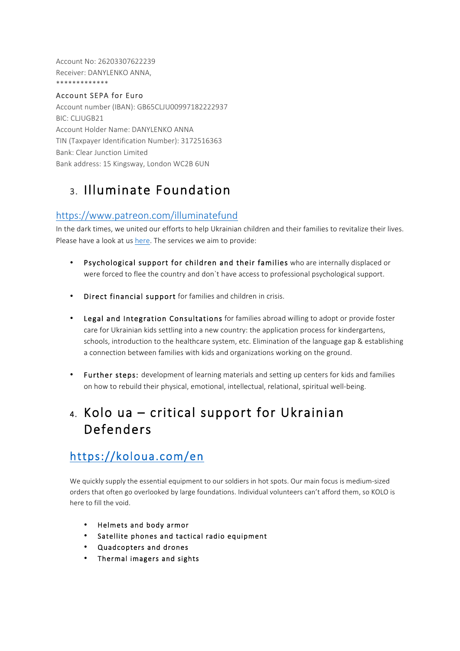Account No: 26203307622239 Receiver: DANYLENKO ANNA, \*\*\*\*\*\*\*\*\*\*\*\*\*

### Account SEPA for Euro

Account number (IBAN): GB65CLJU00997182222937 BIC: CLJUGB21 Account Holder Name: DANYLENKO ANNA TIN (Taxpayer Identification Number): 3172516363 Bank: Clear Junction Limited Bank address: 15 Kingsway, London WC2B 6UN

## 3. Illuminate Foundation

### https://www.patreon.com/illuminatefund

In the dark times, we united our efforts to help Ukrainian children and their families to revitalize their lives. Please have a look at us here. The services we aim to provide:

- Psychological support for children and their families who are internally displaced or were forced to flee the country and don`t have access to professional psychological support.
- Direct financial support for families and children in crisis.
- Legal and Integration Consultations for families abroad willing to adopt or provide foster care for Ukrainian kids settling into a new country: the application process for kindergartens, schools, introduction to the healthcare system, etc. Elimination of the language gap & establishing a connection between families with kids and organizations working on the ground.
- Further steps: development of learning materials and setting up centers for kids and families on how to rebuild their physical, emotional, intellectual, relational, spiritual well-being.

### 4. Kolo ua – critical support for Ukrainian Defenders

### https://koloua.com/en

We quickly supply the essential equipment to our soldiers in hot spots. Our main focus is medium-sized orders that often go overlooked by large foundations. Individual volunteers can't afford them, so KOLO is here to fill the void.

- Helmets and body armor
- Satellite phones and tactical radio equipment
- Quadcopters and drones
- Thermal imagers and sights